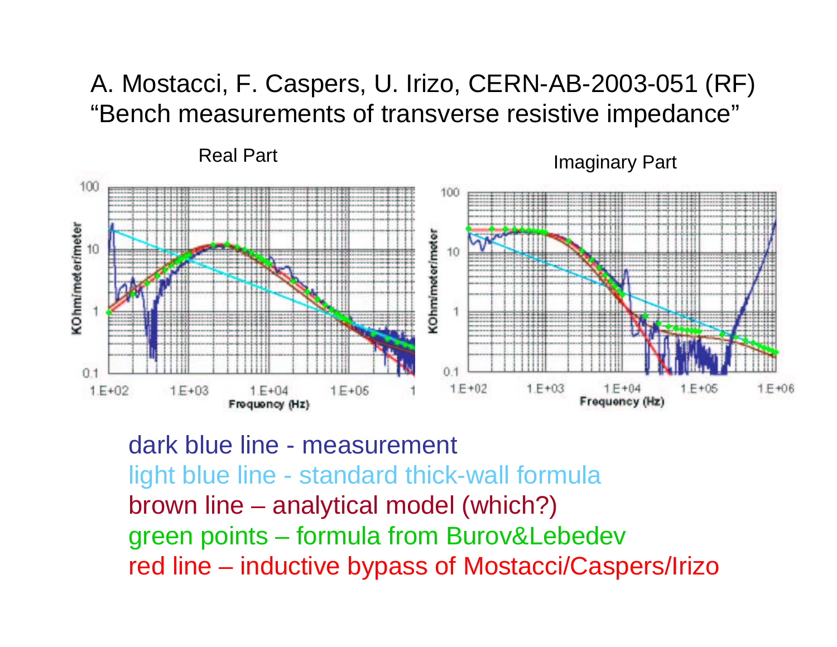#### A. Mostacci, F. Caspers, U. Irizo, CERN-AB-2003-051 (RF) "Bench measurements of transverse resistive impedance"

Real Part

Imaginary Part



dark blue line - measurement light blue line - standard thick-wall formula brown line – analytical model (which?) green points – formula from Burov&Lebedev red line – inductive bypass of Mostacci/Caspers/Irizo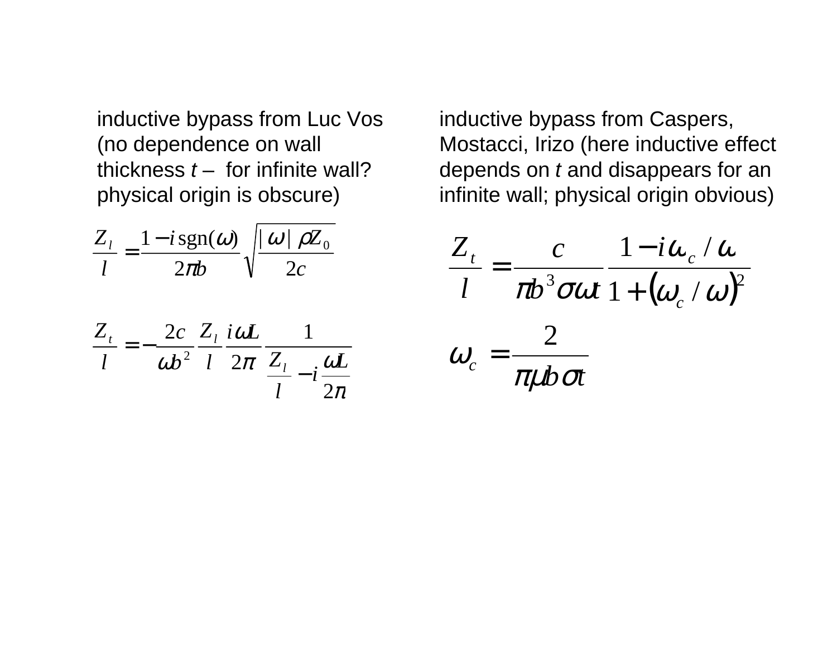inductive bypass from Luc Vos (no dependence on wall thickness  $t -$  for infinite wall? physical origin is obscure)

$$
\frac{Z_{l}}{l} = \frac{1 - i \operatorname{sgn}(\omega)}{2\pi b} \sqrt{\frac{|\omega| \rho Z_{0}}{2c}}
$$

$$
\frac{Z_t}{l} = -\frac{2c}{\omega b^2} \frac{Z_l}{l} \frac{i\omega L}{2\pi} \frac{1}{Z_l - i \frac{\omega L}{2\pi}}
$$

inductive bypass from Caspers, Mostacci, Irizo (here inductive effect depends on  $t$  and disappears for an infinite wall; physical origin obvious)

$$
\frac{Z_t}{l} = \frac{c}{\pi b^3 \sigma \omega t} \frac{1 - i\omega_c/\omega}{1 + (\omega_c/\omega)^2}
$$

$$
\omega_c = \frac{2}{\pi \mu b \sigma t}
$$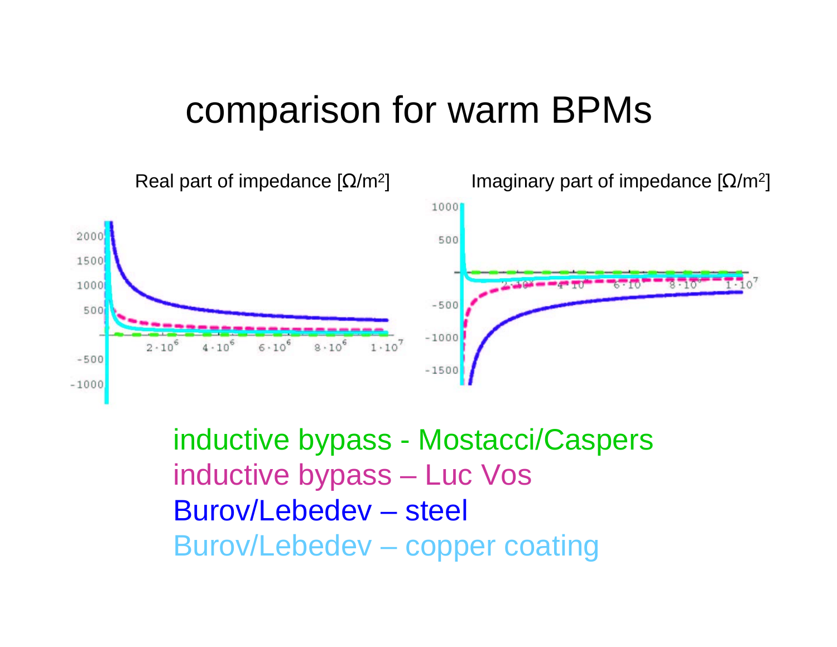### comparison for warm BPMs



inductive bypass - Mostacci/Caspers inductive bypass – Luc Vos Burov/Lebedev – steel Burov/Lebedev – copper coating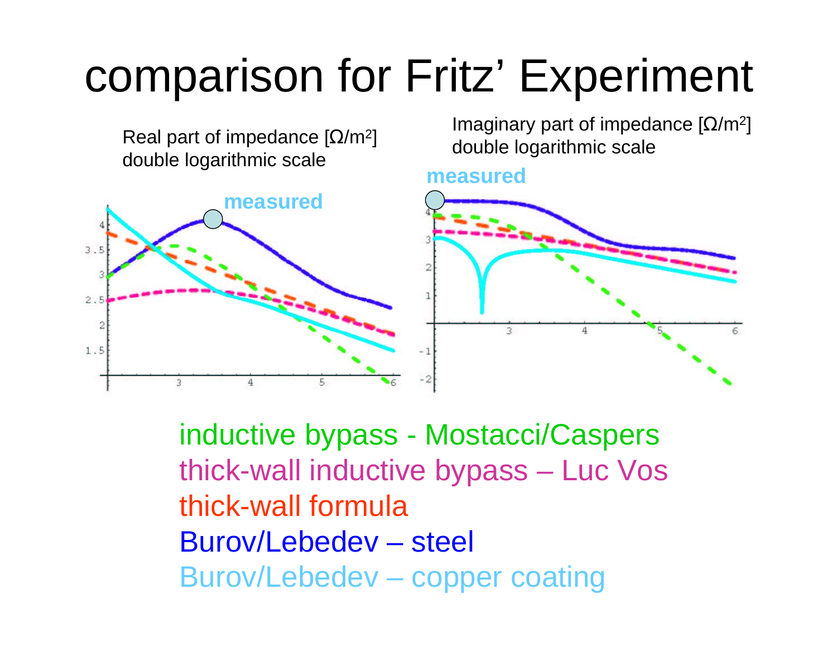# comparison for Fritz' Experiment

Real part of impedance [ $\Omega$ /m $^2$ ] double logarithmic scale

Imaginary part of impedance [ $\Omega$ /m $^2$ ] double logarithmic scale

#### **measured**



inductive bypass - Mostacci/Caspers thick-wall inductive bypass – Luc Vos thick-wall formulaBurov/Lebedev – steel Burov/Lebedev – copper coating